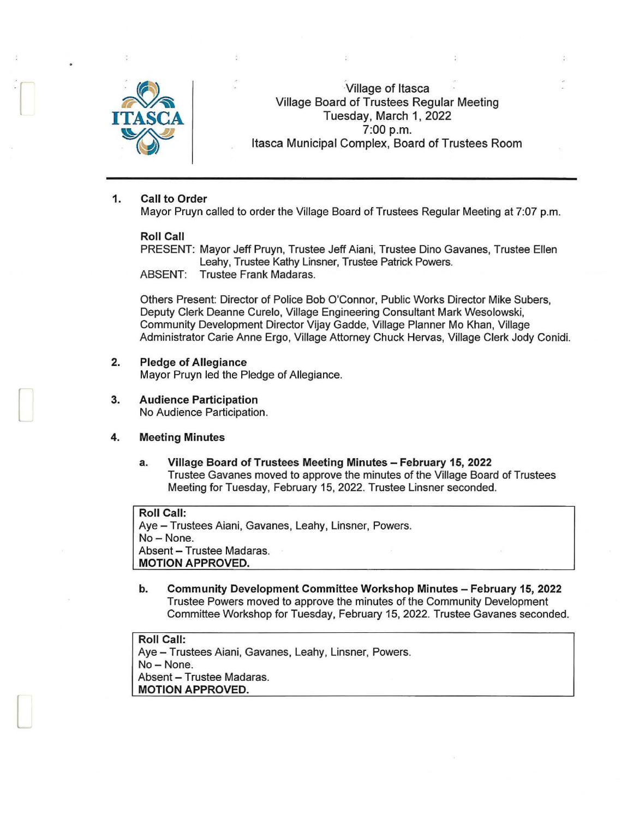

 $\sum_{i=1}^{n}$ 

 $\begin{bmatrix} \phantom{-} \end{bmatrix}$ 

 $\Box$ 

Village of Itasca Village Board of Trustees Regular Meeting Tuesday, March 1, 2022 ~ 7:00 p.m. Itasca Municipal Complex, Board of Trustees Room

## 1. Call to Order

Mayor Pruyn called to order the Village Board of Trustees Regular Meeting at 7:07 p.m.

#### Roll Call

PRESENT: Mayor Jeff Pruyn, Trustee Jeff Aiani, Trustee Dino Gavanes, Trustee Ellen Leahy, Trustee Kathy Linsner, Trustee Patrick Powers. ABSENT: Trustee Frank Madaras.

Others Present: Director of Police Bob O'Connor, Public Works Director Mike Subers, Deputy Clerk Deanne Curelo, Village Engineering Consultant Mark Wesolowski, Community Development Director Vijay Gadde, Village Planner Mo Khan, Village Administrator Carie Anne Ergo, Village Attorney Chuck Hervas, Village Clerk Jody Conidi.

# 2. Pledge of Allegiance

Mayor Pruyn led the Pledge of Allegiance.

3. Audience Participation No Audience Participation.

## 4. Meeting Minutes

a. Village Board of Trustees Meeting Minutes - February 15, 2022 Trustee Gavanes moved to approve the minutes of the Village Board of Trustees Meeting for Tuesday, February 15, 2022. Trustee Linsner seconded.

Roll Call: Aye- Trustees Aiani, Gavanes, Leahy, Linsner, Powers. No-None. Absent - Trustee Madaras. MOTION APPROVED.

b. Community Development Committee Workshop Minutes - February 15, 2022 Trustee Powers moved to approve the minutes of the Community Development Committee Workshop for Tuesday, February 15, 2022. Trustee Gavanes seconded.

Roll Call: Aye - Trustees Aiani, Gavanes, Leahy, Linsner, Powers. No-None. Absent - Trustee Madaras. MOTION APPROVED.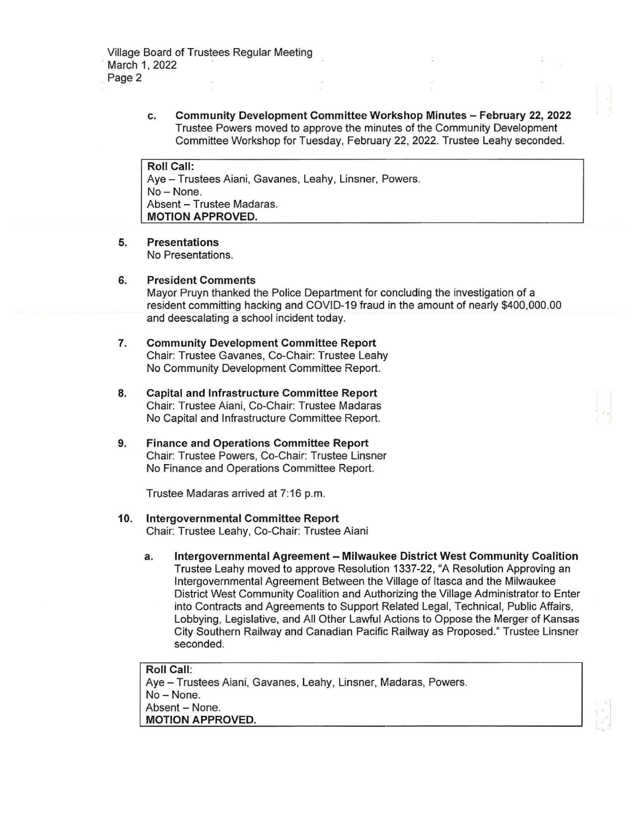Village Board of Trustees Regular Meeting March 1, 2022 Page 2

> **c. Community Development Committee Workshop Minutes - February 22, 2022**  Trustee Powers moved to approve the minutes of the Community Development Committee Workshop for Tuesday, February 22, 2022. Trustee Leahy seconded.

**Roll Call:**  Aye- Trustees Aiani, Gavanes, Leahy, Linsner, Powers. No- None. Absent - Trustee Madaras. **MOTION APPROVED.** 

**5. Presentations** 

No Presentations.

**6. President Comments** 

Mayor Pruyn thanked the Police Department for concluding the investigation of a resident committing hacking and COVID-19 fraud in the amount of nearly \$400,000.00 and deescalating a school incident today.

- **7. Community Development Committee Report**  Chair: Trustee Gavanes, Co-Chair: Trustee Leahy No Community Development Committee Report.
- **8. Capital and Infrastructure Committee Report**  Chair: Trustee Aiani, Co-Chair: Trustee Madaras No Capital and Infrastructure Committee Report.
- **9. Finance and Operations Committee Report**  Chair: Trustee Powers, Co-Chair: Trustee Linsner No Finance and Operations Committee Report.

Trustee Madaras arrived at 7:16 p.m.

- **10. Intergovernmental Committee Report**  Chair: Trustee Leahy, Co-Chair: Trustee Aiani
	- **a. Intergovernmental Agreement - Milwaukee District West Community Coalition**  Trustee Leahy moved to approve Resolution 1337-22, "A Resolution Approving an Intergovernmental Agreement Between the Village of Itasca and the Milwaukee District West Community Coalition and Authorizing the Village Administrator to Enter into Contracts and Agreements to Support Related Legal, Technical, Public Affairs, Lobbying, Legislative, and All Other Lawful Actions to Oppose the Merger of Kansas City Southern Railway and Canadian Pacific Railway as Proposed." Trustee Linsner seconded.

**Roll Call:**  Aye - Trustees Aiani, Gavanes, Leahy, Linsner, Madaras, Powers. No- None. Absent - None. **MOTION APPROVED.**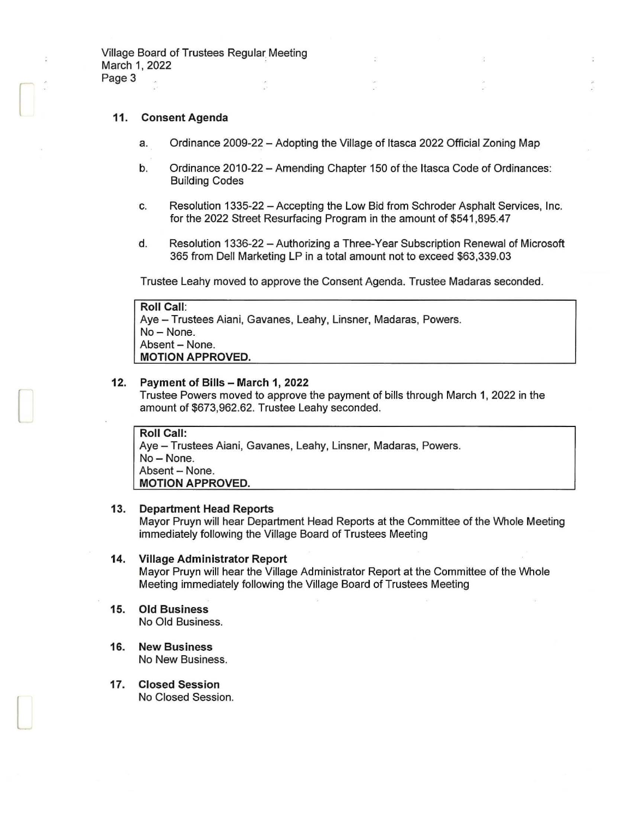## **11. Consent Agenda**

r

 $\Box$ 

L

- a. Ordinance 2009-22 Adopting the Village of Itasca 2022 Official Zoning Map
- b. Ordinance 2010-22 Amending Chapter 150 of the Itasca Code of Ordinances: Building Codes
- c. Resolution 1335-22 -Accepting the Low Bid from Schroder Asphalt Services, Inc. for the 2022 Street Resurfacing Program in the amount of \$541,895.47
- d. Resolution 1336-22 Authorizing a Three-Year Subscription Renewal of Microsoft 365 from Dell Marketing LP in a total amount not to exceed \$63,339.03

Trustee Leahy moved to approve the Consent Agenda. Trustee Madaras seconded.

| Roll Call:                                                      |
|-----------------------------------------------------------------|
| Aye – Trustees Aiani, Gavanes, Leahy, Linsner, Madaras, Powers. |
| No – None.                                                      |
| Absent – None.                                                  |
| <b>MOTION APPROVED.</b>                                         |

### **12. Payment of Bills - March 1, 2022**

Trustee Powers moved to approve the payment of bills through March 1, 2022 in the amount of \$673,962.62. Trustee Leahy seconded.

**Roll Call:**  Aye - Trustees Aiani, Gavanes, Leahy, Linsner, Madaras, Powers. No-None. Absent - None. **MOTION APPROVED.** 

### **13. Department Head Reports**

Mayor Pruyn will hear Department Head Reports at the Committee of the Whole Meeting immediately following the Village Board of Trustees Meeting

#### **14. Village Administrator Report**

Mayor Pruyn will hear the Village Administrator Report at the Committee of the Whole Meeting immediately following the Village Board of Trustees Meeting

- **15. Old Business**  No Old Business.
- **16. New Business**  No New Business.
- **17. Closed Session**  No Closed Session.